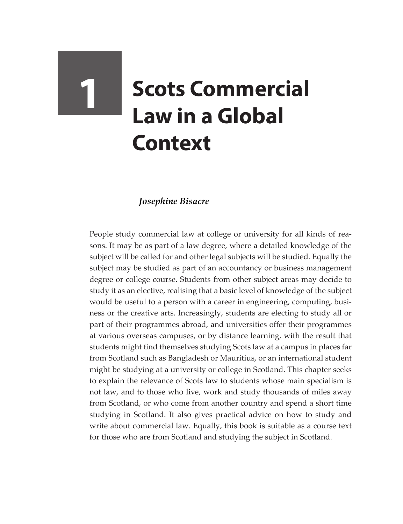# **1 Scots Commercial Law in a Global Context**

# *Josephine Bisacre*

People study commercial law at college or university for all kinds of reasons. It may be as part of a law degree, where a detailed knowledge of the subject will be called for and other legal subjects will be studied. Equally the subject may be studied as part of an accountancy or business management degree or college course. Students from other subject areas may decide to study it as an elective, realising that a basic level of knowledge of the subject would be useful to a person with a career in engineering, computing, business or the creative arts. Increasingly, students are electing to study all or part of their programmes abroad, and universities offer their programmes at various overseas campuses, or by distance learning, with the result that students might find themselves studying Scots law at a campus in places far from Scotland such as Bangladesh or Mauritius, or an international student might be studying at a university or college in Scotland. This chapter seeks to explain the relevance of Scots law to students whose main specialism is not law, and to those who live, work and study thousands of miles away from Scotland, or who come from another country and spend a short time studying in Scotland. It also gives practical advice on how to study and write about commercial law. Equally, this book is suitable as a course text for those who are from Scotland and studying the subject in Scotland.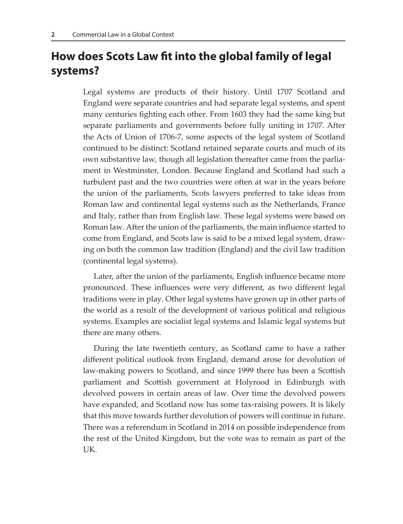# **How does Scots Law fit into the global family of legal systems?**

Legal systems are products of their history. Until 1707 Scotland and England were separate countries and had separate legal systems, and spent many centuries fighting each other. From 1603 they had the same king but separate parliaments and governments before fully uniting in 1707. After the Acts of Union of 1706-7, some aspects of the legal system of Scotland continued to be distinct: Scotland retained separate courts and much of its own substantive law, though all legislation thereafter came from the parliament in Westminster, London. Because England and Scotland had such a turbulent past and the two countries were often at war in the years before the union of the parliaments, Scots lawyers preferred to take ideas from Roman law and continental legal systems such as the Netherlands, France and Italy, rather than from English law. These legal systems were based on Roman law. After the union of the parliaments, the main influence started to come from England, and Scots law is said to be a mixed legal system, drawing on both the common law tradition (England) and the civil law tradition (continental legal systems).

Later, after the union of the parliaments, English influence became more pronounced. These influences were very different, as two different legal traditions were in play. Other legal systems have grown up in other parts of the world as a result of the development of various political and religious systems. Examples are socialist legal systems and Islamic legal systems but there are many others.

During the late twentieth century, as Scotland came to have a rather different political outlook from England, demand arose for devolution of law-making powers to Scotland, and since 1999 there has been a Scottish parliament and Scottish government at Holyrood in Edinburgh with devolved powers in certain areas of law. Over time the devolved powers have expanded, and Scotland now has some tax-raising powers. It is likely that this move towards further devolution of powers will continue in future. There was a referendum in Scotland in 2014 on possible independence from the rest of the United Kingdom, but the vote was to remain as part of the UK.